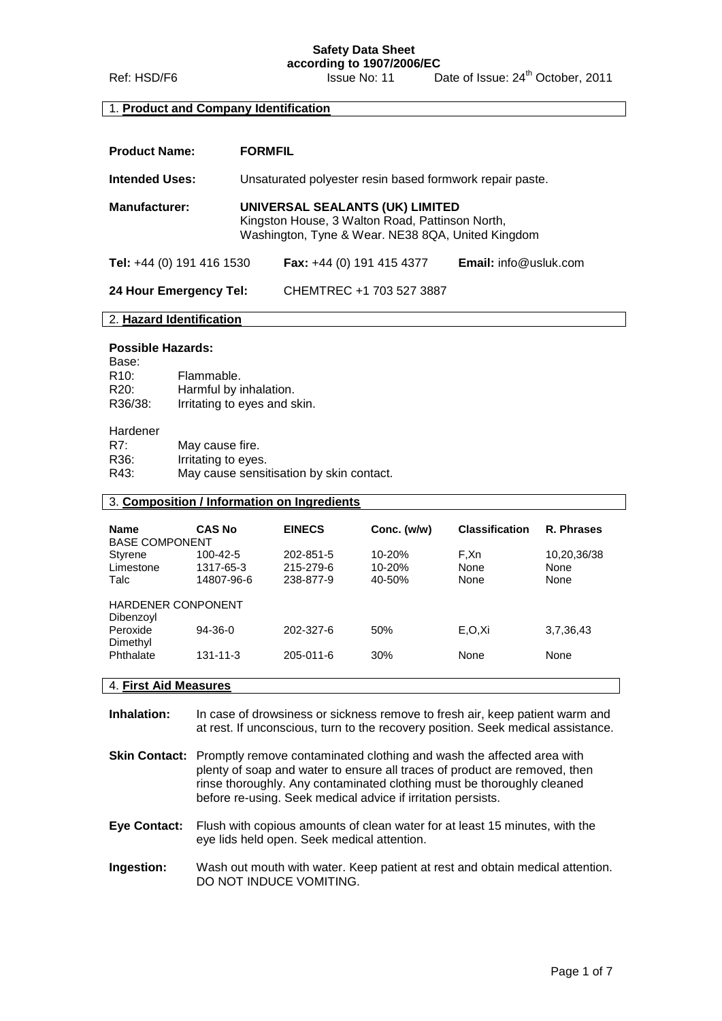**Safety Data Sheet**

#### **according to 1907/2006/EC** Ref: HSD/F6 Issue No: 11 Date of Issue: 24<sup>th</sup> October, 2011

#### 1. **Product and Company Identification**

| <b>Product Name:</b>      | <b>FORMFIL</b>                                                                                                                          |                                    |                              |
|---------------------------|-----------------------------------------------------------------------------------------------------------------------------------------|------------------------------------|------------------------------|
| <b>Intended Uses:</b>     | Unsaturated polyester resin based formwork repair paste.                                                                                |                                    |                              |
| <b>Manufacturer:</b>      | UNIVERSAL SEALANTS (UK) LIMITED<br>Kingston House, 3 Walton Road, Pattinson North,<br>Washington, Tyne & Wear. NE38 8QA, United Kingdom |                                    |                              |
| Tel: +44 (0) 191 416 1530 |                                                                                                                                         | <b>Fax:</b> $+44$ (0) 191 415 4377 | <b>Email:</b> info@usluk.com |
| 24 Hour Emergency Tel:    |                                                                                                                                         | CHEMTREC +1 703 527 3887           |                              |

### 2. **Hazard Identification**

#### **Possible Hazards:**

| Base:   |                              |
|---------|------------------------------|
| R10:    | Flammable.                   |
| R20:    | Harmful by inhalation.       |
| R36/38: | Irritating to eyes and skin. |
|         |                              |

#### Hardener

| May cause fire.                          |
|------------------------------------------|
| Irritating to eyes.                      |
| May cause sensitisation by skin contact. |
|                                          |

#### 3. **Composition / Information on Ingredients**

| <b>Name</b><br><b>BASE COMPONENT</b>   | <b>CAS No</b>                       | <b>EINECS</b>                       | Conc. (w/w)                    | <b>Classification</b> | R. Phrases                  |
|----------------------------------------|-------------------------------------|-------------------------------------|--------------------------------|-----------------------|-----------------------------|
| Styrene<br>Limestone<br>Talc           | 100-42-5<br>1317-65-3<br>14807-96-6 | 202-851-5<br>215-279-6<br>238-877-9 | 10-20%<br>$10 - 20%$<br>40-50% | F,Xn<br>None<br>None  | 10,20,36/38<br>None<br>None |
| <b>HARDENER CONPONENT</b><br>Dibenzoyl |                                     |                                     |                                |                       |                             |
| Peroxide<br>Dimethyl                   | $94 - 36 - 0$                       | 202-327-6                           | 50%                            | E.O.Xi                | 3,7,36,43                   |
| Phthalate                              | $131 - 11 - 3$                      | 205-011-6                           | 30%                            | None                  | None                        |
|                                        |                                     |                                     |                                |                       |                             |

### 4. **First Aid Measures**

**Inhalation:** In case of drowsiness or sickness remove to fresh air, keep patient warm and at rest. If unconscious, turn to the recovery position. Seek medical assistance.

- **Skin Contact:** Promptly remove contaminated clothing and wash the affected area with plenty of soap and water to ensure all traces of product are removed, then rinse thoroughly. Any contaminated clothing must be thoroughly cleaned before re-using. Seek medical advice if irritation persists.
- **Eye Contact:** Flush with copious amounts of clean water for at least 15 minutes, with the eye lids held open. Seek medical attention.
- **Ingestion:** Wash out mouth with water. Keep patient at rest and obtain medical attention. DO NOT INDUCE VOMITING.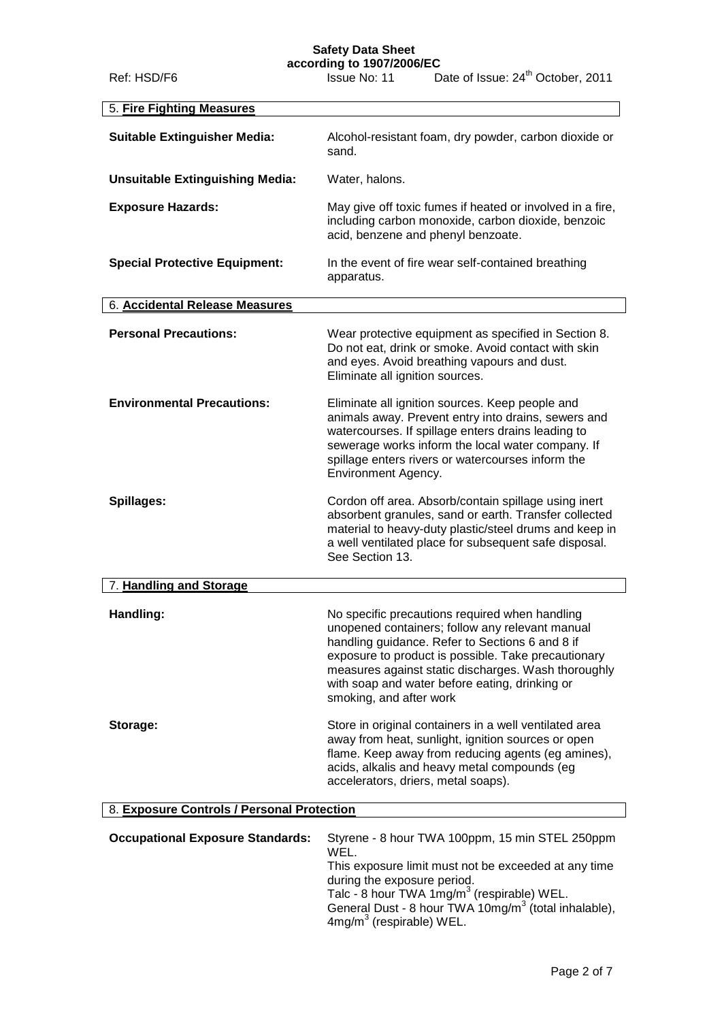## **Safety Data Sheet**

**according to 1907/2006/EC**

| Ref: HSD/F6                                | Issue No: 11                                                      | Date of Issue: 24 <sup>th</sup> October, 2011                                                                                                                                                                                                                                                                        |
|--------------------------------------------|-------------------------------------------------------------------|----------------------------------------------------------------------------------------------------------------------------------------------------------------------------------------------------------------------------------------------------------------------------------------------------------------------|
| 5. Fire Fighting Measures                  |                                                                   |                                                                                                                                                                                                                                                                                                                      |
| <b>Suitable Extinguisher Media:</b>        | sand.                                                             | Alcohol-resistant foam, dry powder, carbon dioxide or                                                                                                                                                                                                                                                                |
| <b>Unsuitable Extinguishing Media:</b>     | Water, halons.                                                    |                                                                                                                                                                                                                                                                                                                      |
| <b>Exposure Hazards:</b>                   |                                                                   | May give off toxic fumes if heated or involved in a fire,<br>including carbon monoxide, carbon dioxide, benzoic<br>acid, benzene and phenyl benzoate.                                                                                                                                                                |
| <b>Special Protective Equipment:</b>       | apparatus.                                                        | In the event of fire wear self-contained breathing                                                                                                                                                                                                                                                                   |
| 6. Accidental Release Measures             |                                                                   |                                                                                                                                                                                                                                                                                                                      |
| <b>Personal Precautions:</b>               | Eliminate all ignition sources.                                   | Wear protective equipment as specified in Section 8.<br>Do not eat, drink or smoke. Avoid contact with skin<br>and eyes. Avoid breathing vapours and dust.                                                                                                                                                           |
| <b>Environmental Precautions:</b>          | Environment Agency.                                               | Eliminate all ignition sources. Keep people and<br>animals away. Prevent entry into drains, sewers and<br>watercourses. If spillage enters drains leading to<br>sewerage works inform the local water company. If<br>spillage enters rivers or watercourses inform the                                               |
| Spillages:                                 | See Section 13.                                                   | Cordon off area. Absorb/contain spillage using inert<br>absorbent granules, sand or earth. Transfer collected<br>material to heavy-duty plastic/steel drums and keep in<br>a well ventilated place for subsequent safe disposal.                                                                                     |
| 7. Handling and Storage                    |                                                                   |                                                                                                                                                                                                                                                                                                                      |
| Handling:                                  | smoking, and after work                                           | No specific precautions required when handling<br>unopened containers; follow any relevant manual<br>handling guidance. Refer to Sections 6 and 8 if<br>exposure to product is possible. Take precautionary<br>measures against static discharges. Wash thoroughly<br>with soap and water before eating, drinking or |
| Storage:                                   |                                                                   | Store in original containers in a well ventilated area<br>away from heat, sunlight, ignition sources or open<br>flame. Keep away from reducing agents (eg amines),<br>acids, alkalis and heavy metal compounds (eg<br>accelerators, driers, metal soaps).                                                            |
| 8. Exposure Controls / Personal Protection |                                                                   |                                                                                                                                                                                                                                                                                                                      |
| <b>Occupational Exposure Standards:</b>    | WEL.<br>during the exposure period.<br>$4mg/m3$ (respirable) WEL. | Styrene - 8 hour TWA 100ppm, 15 min STEL 250ppm<br>This exposure limit must not be exceeded at any time<br>Talc - 8 hour TWA $1mg/m3$ (respirable) WEL.<br>General Dust - 8 hour TWA 10mg/m <sup>3</sup> (total inhalable),                                                                                          |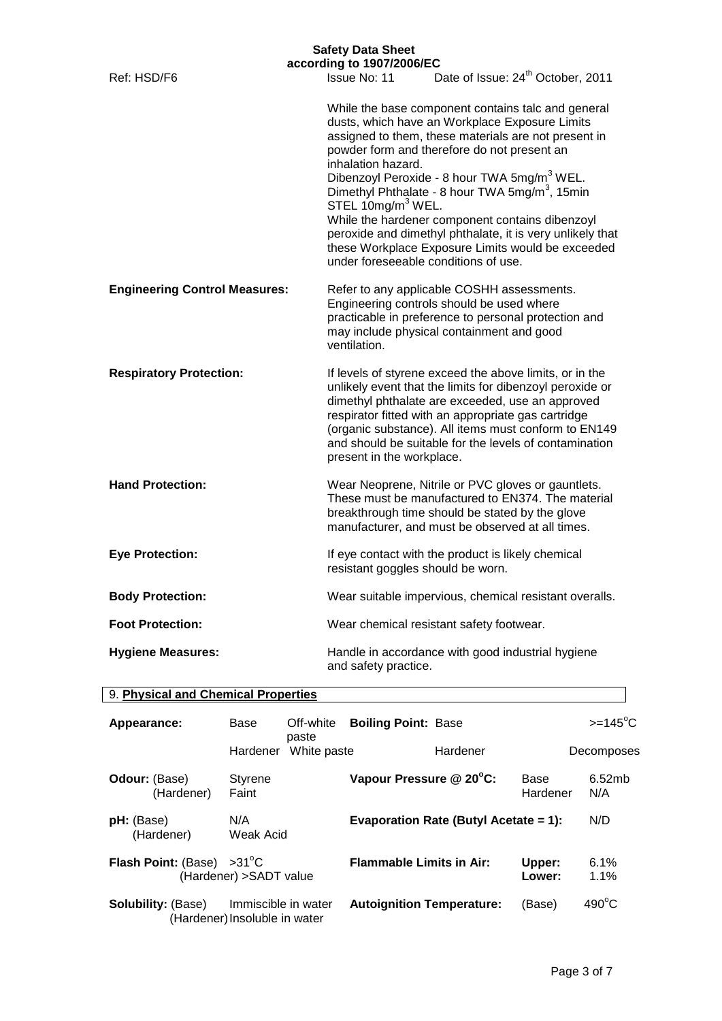| <b>Safety Data Sheet</b><br>according to 1907/2006/EC |                                                                                                                                                                                                                                                                                                                                                                                                                                                                                                                                                                                                          |  |  |  |
|-------------------------------------------------------|----------------------------------------------------------------------------------------------------------------------------------------------------------------------------------------------------------------------------------------------------------------------------------------------------------------------------------------------------------------------------------------------------------------------------------------------------------------------------------------------------------------------------------------------------------------------------------------------------------|--|--|--|
| Ref: HSD/F6                                           | Date of Issue: 24 <sup>th</sup> October, 2011<br>Issue No: 11                                                                                                                                                                                                                                                                                                                                                                                                                                                                                                                                            |  |  |  |
|                                                       | While the base component contains talc and general<br>dusts, which have an Workplace Exposure Limits<br>assigned to them, these materials are not present in<br>powder form and therefore do not present an<br>inhalation hazard.<br>Dibenzoyl Peroxide - 8 hour TWA 5mg/m <sup>3</sup> WEL.<br>Dimethyl Phthalate - 8 hour TWA 5mg/m <sup>3</sup> , 15min<br>STEL 10mg/m <sup>3</sup> WEL.<br>While the hardener component contains dibenzoyl<br>peroxide and dimethyl phthalate, it is very unlikely that<br>these Workplace Exposure Limits would be exceeded<br>under foreseeable conditions of use. |  |  |  |
| <b>Engineering Control Measures:</b>                  | Refer to any applicable COSHH assessments.<br>Engineering controls should be used where<br>practicable in preference to personal protection and<br>may include physical containment and good<br>ventilation.                                                                                                                                                                                                                                                                                                                                                                                             |  |  |  |
| <b>Respiratory Protection:</b>                        | If levels of styrene exceed the above limits, or in the<br>unlikely event that the limits for dibenzoyl peroxide or<br>dimethyl phthalate are exceeded, use an approved<br>respirator fitted with an appropriate gas cartridge<br>(organic substance). All items must conform to EN149<br>and should be suitable for the levels of contamination<br>present in the workplace.                                                                                                                                                                                                                            |  |  |  |
| <b>Hand Protection:</b>                               | Wear Neoprene, Nitrile or PVC gloves or gauntlets.<br>These must be manufactured to EN374. The material<br>breakthrough time should be stated by the glove<br>manufacturer, and must be observed at all times.                                                                                                                                                                                                                                                                                                                                                                                           |  |  |  |
| <b>Eye Protection:</b>                                | If eye contact with the product is likely chemical<br>resistant goggles should be worn.                                                                                                                                                                                                                                                                                                                                                                                                                                                                                                                  |  |  |  |
| <b>Body Protection:</b>                               | Wear suitable impervious, chemical resistant overalls.                                                                                                                                                                                                                                                                                                                                                                                                                                                                                                                                                   |  |  |  |
| <b>Foot Protection:</b>                               | Wear chemical resistant safety footwear.                                                                                                                                                                                                                                                                                                                                                                                                                                                                                                                                                                 |  |  |  |
| <b>Hygiene Measures:</b>                              | Handle in accordance with good industrial hygiene<br>and safety practice.                                                                                                                                                                                                                                                                                                                                                                                                                                                                                                                                |  |  |  |

| 9. Physical and Chemical Properties |                                                      |                    |                                  |                                       |                  |                  |
|-------------------------------------|------------------------------------------------------|--------------------|----------------------------------|---------------------------------------|------------------|------------------|
| Appearance:                         | Base                                                 | Off-white<br>paste | <b>Boiling Point: Base</b>       |                                       |                  | $>=145^{\circ}C$ |
|                                     | Hardener                                             | White paste        |                                  | Hardener                              |                  | Decomposes       |
| <b>Odour: (Base)</b><br>(Hardener)  | <b>Styrene</b><br>Faint                              |                    | Vapour Pressure @ 20°C:          |                                       | Base<br>Hardener | 6.52mb<br>N/A    |
| <b>pH:</b> (Base)<br>(Hardener)     | N/A<br>Weak Acid                                     |                    |                                  | Evaporation Rate (Butyl Acetate = 1): |                  | N/D              |
| <b>Flash Point: (Base)</b>          | $>31^{\circ}$ C<br>(Hardener) > SADT value           |                    | <b>Flammable Limits in Air:</b>  |                                       | Upper:<br>Lower: | 6.1%<br>1.1%     |
| <b>Solubility: (Base)</b>           | Immiscible in water<br>(Hardener) Insoluble in water |                    | <b>Autoignition Temperature:</b> |                                       | (Base)           | $490^{\circ}$ C  |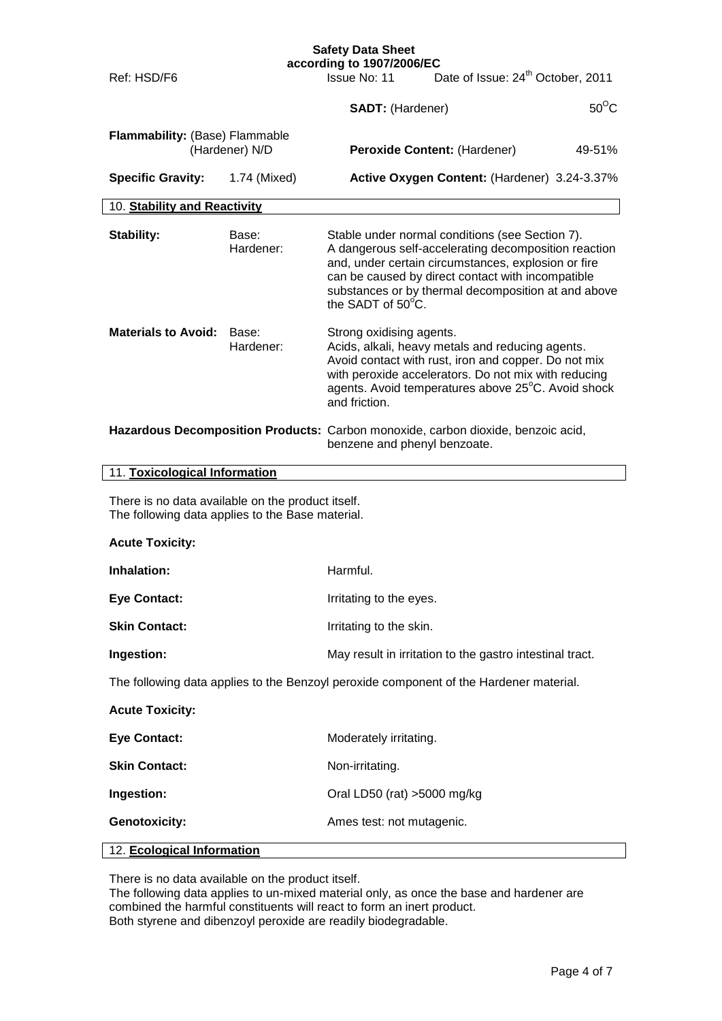|                                                                                                       |                                                                                                                  | <b>Safety Data Sheet</b><br>according to 1907/2006/EC |                                                                                                                                                                                                                                                                            |                |  |
|-------------------------------------------------------------------------------------------------------|------------------------------------------------------------------------------------------------------------------|-------------------------------------------------------|----------------------------------------------------------------------------------------------------------------------------------------------------------------------------------------------------------------------------------------------------------------------------|----------------|--|
| Ref: HSD/F6                                                                                           |                                                                                                                  | Issue No: 11                                          | Date of Issue: 24 <sup>th</sup> October, 2011                                                                                                                                                                                                                              |                |  |
|                                                                                                       |                                                                                                                  | <b>SADT: (Hardener)</b>                               |                                                                                                                                                                                                                                                                            | $50^{\circ}$ C |  |
| Flammability: (Base) Flammable                                                                        | (Hardener) N/D                                                                                                   |                                                       | Peroxide Content: (Hardener)                                                                                                                                                                                                                                               | 49-51%         |  |
| <b>Specific Gravity:</b>                                                                              | 1.74 (Mixed)                                                                                                     |                                                       | Active Oxygen Content: (Hardener) 3.24-3.37%                                                                                                                                                                                                                               |                |  |
| 10. Stability and Reactivity                                                                          |                                                                                                                  |                                                       |                                                                                                                                                                                                                                                                            |                |  |
| Stability:                                                                                            | Base:<br>Hardener:                                                                                               | the SADT of 50°C.                                     | Stable under normal conditions (see Section 7).<br>A dangerous self-accelerating decomposition reaction<br>and, under certain circumstances, explosion or fire<br>can be caused by direct contact with incompatible<br>substances or by thermal decomposition at and above |                |  |
| <b>Materials to Avoid:</b>                                                                            | Base:<br>Hardener:                                                                                               | Strong oxidising agents.<br>and friction.             | Acids, alkali, heavy metals and reducing agents.<br>Avoid contact with rust, iron and copper. Do not mix<br>with peroxide accelerators. Do not mix with reducing<br>agents. Avoid temperatures above 25°C. Avoid shock                                                     |                |  |
|                                                                                                       | Hazardous Decomposition Products: Carbon monoxide, carbon dioxide, benzoic acid,<br>benzene and phenyl benzoate. |                                                       |                                                                                                                                                                                                                                                                            |                |  |
|                                                                                                       | 11. Toxicological Information                                                                                    |                                                       |                                                                                                                                                                                                                                                                            |                |  |
| There is no data available on the product itself.<br>The following data applies to the Base material. |                                                                                                                  |                                                       |                                                                                                                                                                                                                                                                            |                |  |
| <b>Acute Toxicity:</b>                                                                                |                                                                                                                  |                                                       |                                                                                                                                                                                                                                                                            |                |  |
| Inhalation:                                                                                           |                                                                                                                  | Harmful.                                              |                                                                                                                                                                                                                                                                            |                |  |
| <b>Eye Contact:</b>                                                                                   |                                                                                                                  | Irritating to the eyes.                               |                                                                                                                                                                                                                                                                            |                |  |
| <b>Skin Contact:</b>                                                                                  |                                                                                                                  | Irritating to the skin.                               |                                                                                                                                                                                                                                                                            |                |  |
| Ingestion:                                                                                            |                                                                                                                  |                                                       | May result in irritation to the gastro intestinal tract.                                                                                                                                                                                                                   |                |  |
| The following data applies to the Benzoyl peroxide component of the Hardener material.                |                                                                                                                  |                                                       |                                                                                                                                                                                                                                                                            |                |  |
| <b>Acute Toxicity:</b>                                                                                |                                                                                                                  |                                                       |                                                                                                                                                                                                                                                                            |                |  |
| <b>Eye Contact:</b>                                                                                   |                                                                                                                  | Moderately irritating.                                |                                                                                                                                                                                                                                                                            |                |  |
| <b>Skin Contact:</b>                                                                                  |                                                                                                                  | Non-irritating.                                       |                                                                                                                                                                                                                                                                            |                |  |
| Ingestion:                                                                                            |                                                                                                                  | Oral LD50 (rat) >5000 mg/kg                           |                                                                                                                                                                                                                                                                            |                |  |
| <b>Genotoxicity:</b>                                                                                  |                                                                                                                  | Ames test: not mutagenic.                             |                                                                                                                                                                                                                                                                            |                |  |
| 12. Ecological Information                                                                            |                                                                                                                  |                                                       |                                                                                                                                                                                                                                                                            |                |  |

There is no data available on the product itself.

The following data applies to un-mixed material only, as once the base and hardener are combined the harmful constituents will react to form an inert product. Both styrene and dibenzoyl peroxide are readily biodegradable.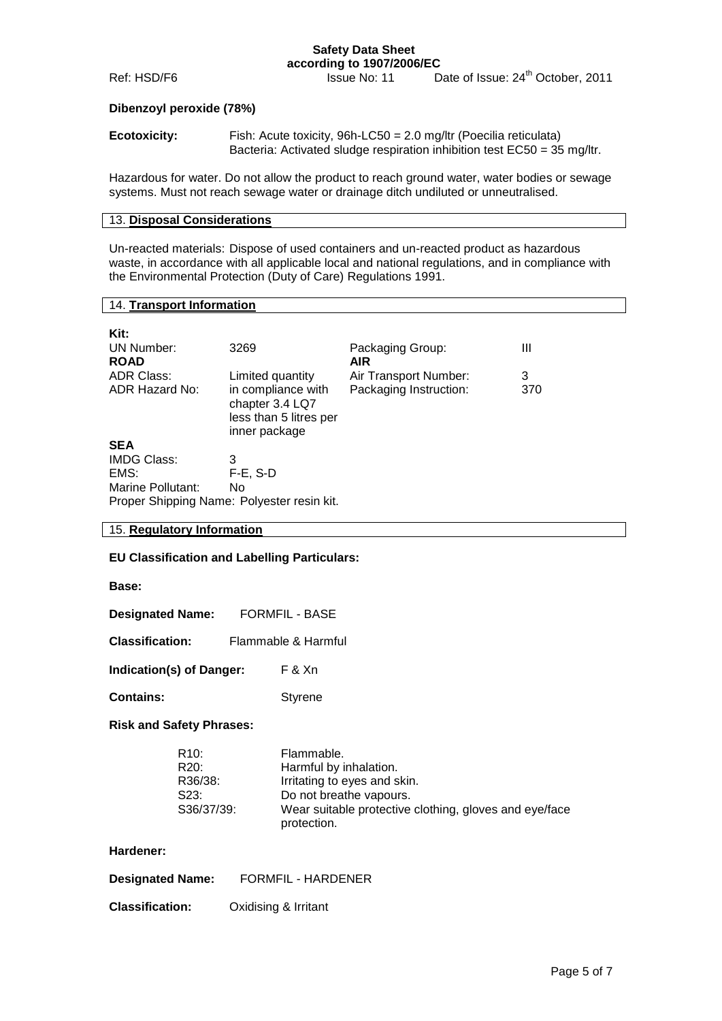#### **Safety Data Sheet according to 1907/2006/EC**

Ref: HSD/F6 Issue No: 11 Date of Issue: 24<sup>th</sup> October, 2011

#### **Dibenzoyl peroxide (78%)**

| <b>Ecotoxicity:</b> | Fish: Acute toxicity, $96h$ -LC50 = 2.0 mg/ltr (Poecilia reticulata)     |
|---------------------|--------------------------------------------------------------------------|
|                     | Bacteria: Activated sludge respiration inhibition test EC50 = 35 mg/ltr. |

Hazardous for water. Do not allow the product to reach ground water, water bodies or sewage systems. Must not reach sewage water or drainage ditch undiluted or unneutralised.

#### 13. **Disposal Considerations**

Un-reacted materials: Dispose of used containers and un-reacted product as hazardous waste, in accordance with all applicable local and national regulations, and in compliance with the Environmental Protection (Duty of Care) Regulations 1991.

#### 14. **Transport Information**

| Kit:<br>UN Number:<br><b>ROAD</b>          | 3269                                                                             | Packaging Group:<br><b>AIR</b> | Ш   |  |
|--------------------------------------------|----------------------------------------------------------------------------------|--------------------------------|-----|--|
| ADR Class:                                 | Limited quantity                                                                 | Air Transport Number:          | 3   |  |
| ADR Hazard No:                             | in compliance with<br>chapter 3.4 LQ7<br>less than 5 litres per<br>inner package | Packaging Instruction:         | 370 |  |
| <b>SEA</b>                                 |                                                                                  |                                |     |  |
| <b>IMDG Class:</b>                         | 3                                                                                |                                |     |  |
| EMS:                                       | $F-E$ , S-D                                                                      |                                |     |  |
| Marine Pollutant:                          | No.                                                                              |                                |     |  |
| Proper Shipping Name: Polyester resin kit. |                                                                                  |                                |     |  |

#### 15. **Regulatory Information**

#### **EU Classification and Labelling Particulars:**

#### **Base:**

| <b>Designated Name:</b> | <b>FORMFIL - BASE</b> |
|-------------------------|-----------------------|
|-------------------------|-----------------------|

| <b>Classification:</b> | Flammable & Harmful |
|------------------------|---------------------|
|                        |                     |

| <b>Indication(s) of Danger:</b> |  | F & Xn |
|---------------------------------|--|--------|
|---------------------------------|--|--------|

**Contains:** Styrene

#### **Risk and Safety Phrases:**

| R <sub>10</sub> : | Flammable.                                                            |
|-------------------|-----------------------------------------------------------------------|
| R <sub>20</sub> : | Harmful by inhalation.                                                |
| R36/38:           | Irritating to eyes and skin.                                          |
| S23:              | Do not breathe vapours.                                               |
| S36/37/39:        | Wear suitable protective clothing, gloves and eye/face<br>protection. |

#### **Hardener:**

**Classification:** Oxidising & Irritant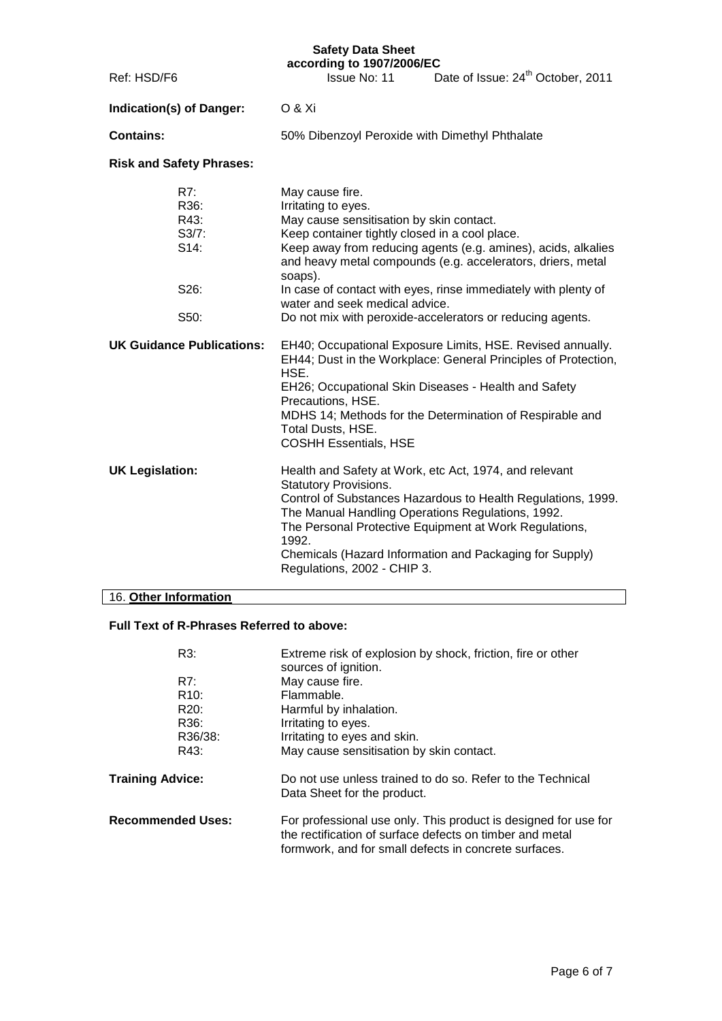# **Safety Data Sheet**

|                                  |                                                         | Jaiciy Dala Jil <del>ce</del> l<br>according to 1907/2006/EC                                                                                                                                                                                                                                                                                                                                                                                     |                                                                                                                                                                                                                                                                                                  |  |
|----------------------------------|---------------------------------------------------------|--------------------------------------------------------------------------------------------------------------------------------------------------------------------------------------------------------------------------------------------------------------------------------------------------------------------------------------------------------------------------------------------------------------------------------------------------|--------------------------------------------------------------------------------------------------------------------------------------------------------------------------------------------------------------------------------------------------------------------------------------------------|--|
| Ref: HSD/F6                      |                                                         | Date of Issue: 24 <sup>th</sup> October, 2011<br>Issue No: 11                                                                                                                                                                                                                                                                                                                                                                                    |                                                                                                                                                                                                                                                                                                  |  |
|                                  | Indication(s) of Danger:                                | <b>O &amp; Xi</b>                                                                                                                                                                                                                                                                                                                                                                                                                                |                                                                                                                                                                                                                                                                                                  |  |
| <b>Contains:</b>                 |                                                         | 50% Dibenzoyl Peroxide with Dimethyl Phthalate                                                                                                                                                                                                                                                                                                                                                                                                   |                                                                                                                                                                                                                                                                                                  |  |
| <b>Risk and Safety Phrases:</b>  |                                                         |                                                                                                                                                                                                                                                                                                                                                                                                                                                  |                                                                                                                                                                                                                                                                                                  |  |
|                                  | R7:<br>R36:<br>R43:<br>$S3/7$ :<br>S14:<br>S26:<br>S50: | May cause fire.<br>Irritating to eyes.<br>May cause sensitisation by skin contact.<br>Keep container tightly closed in a cool place.<br>Keep away from reducing agents (e.g. amines), acids, alkalies<br>and heavy metal compounds (e.g. accelerators, driers, metal<br>soaps).<br>In case of contact with eyes, rinse immediately with plenty of<br>water and seek medical advice.<br>Do not mix with peroxide-accelerators or reducing agents. |                                                                                                                                                                                                                                                                                                  |  |
| <b>UK Guidance Publications:</b> |                                                         | EH40; Occupational Exposure Limits, HSE. Revised annually.<br>EH44; Dust in the Workplace: General Principles of Protection,<br>HSE.<br>EH26; Occupational Skin Diseases - Health and Safety<br>Precautions, HSE.<br>MDHS 14; Methods for the Determination of Respirable and<br>Total Dusts, HSE.<br><b>COSHH Essentials, HSE</b>                                                                                                               |                                                                                                                                                                                                                                                                                                  |  |
| <b>UK Legislation:</b>           |                                                         | <b>Statutory Provisions.</b><br>1992.<br>Regulations, 2002 - CHIP 3.                                                                                                                                                                                                                                                                                                                                                                             | Health and Safety at Work, etc Act, 1974, and relevant<br>Control of Substances Hazardous to Health Regulations, 1999.<br>The Manual Handling Operations Regulations, 1992.<br>The Personal Protective Equipment at Work Regulations,<br>Chemicals (Hazard Information and Packaging for Supply) |  |
| 16. Other Information            |                                                         |                                                                                                                                                                                                                                                                                                                                                                                                                                                  |                                                                                                                                                                                                                                                                                                  |  |

# 16. **Other Information**

## **Full Text of R-Phrases Referred to above:**

| R3:                      | Extreme risk of explosion by shock, friction, fire or other<br>sources of ignition.                                                                                                  |
|--------------------------|--------------------------------------------------------------------------------------------------------------------------------------------------------------------------------------|
| R7:                      | May cause fire.                                                                                                                                                                      |
| R <sub>10</sub> :        | Flammable.                                                                                                                                                                           |
| R <sub>20</sub> :        | Harmful by inhalation.                                                                                                                                                               |
| R36:                     | Irritating to eyes.                                                                                                                                                                  |
| R36/38:                  | Irritating to eyes and skin.                                                                                                                                                         |
| R43:                     | May cause sensitisation by skin contact.                                                                                                                                             |
| <b>Training Advice:</b>  | Do not use unless trained to do so. Refer to the Technical<br>Data Sheet for the product.                                                                                            |
| <b>Recommended Uses:</b> | For professional use only. This product is designed for use for<br>the rectification of surface defects on timber and metal<br>formwork, and for small defects in concrete surfaces. |